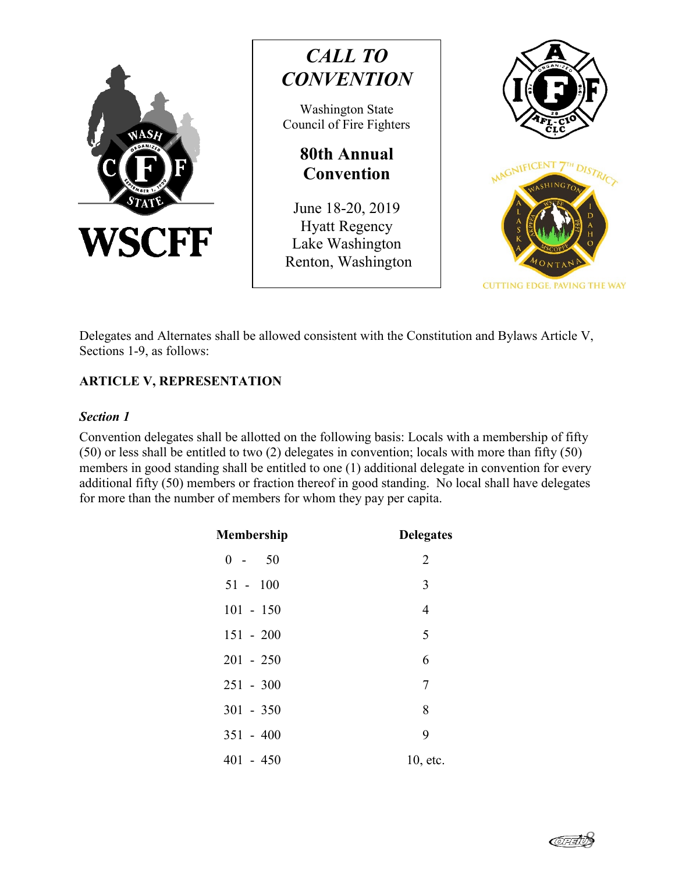



Washington State Council of Fire Fighters

# **80th Annual Convention**

June 18-20, 2019 Hyatt Regency Lake Washington Renton, Washington



Delegates and Alternates shall be allowed consistent with the Constitution and Bylaws Article V, Sections 1-9, as follows:

# **ARTICLE V, REPRESENTATION**

#### *Section 1*

Convention delegates shall be allotted on the following basis: Locals with a membership of fifty (50) or less shall be entitled to two (2) delegates in convention; locals with more than fifty (50) members in good standing shall be entitled to one (1) additional delegate in convention for every additional fifty (50) members or fraction thereof in good standing. No local shall have delegates for more than the number of members for whom they pay per capita.

| Membership  | <b>Delegates</b> |
|-------------|------------------|
| $0 - 50$    | $\overline{2}$   |
| $51 - 100$  | 3                |
| $101 - 150$ | $\overline{4}$   |
| $151 - 200$ | 5                |
| $201 - 250$ | 6                |
| $251 - 300$ | $\tau$           |
| $301 - 350$ | 8                |
| $351 - 400$ | 9                |
| $401 - 450$ | $10,$ etc.       |

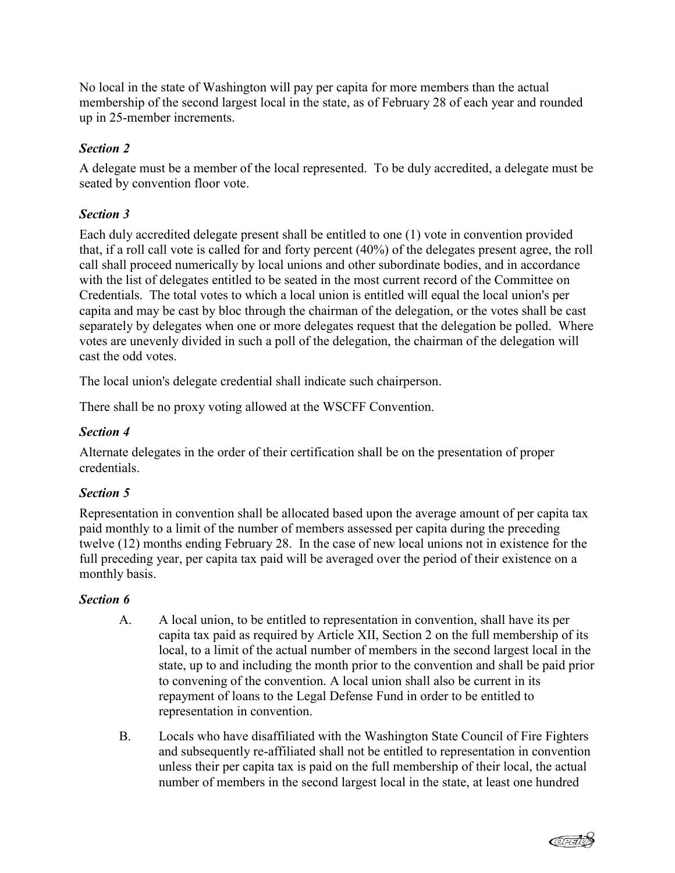No local in the state of Washington will pay per capita for more members than the actual membership of the second largest local in the state, as of February 28 of each year and rounded up in 25-member increments.

### *Section 2*

A delegate must be a member of the local represented. To be duly accredited, a delegate must be seated by convention floor vote.

#### *Section 3*

Each duly accredited delegate present shall be entitled to one (1) vote in convention provided that, if a roll call vote is called for and forty percent (40%) of the delegates present agree, the roll call shall proceed numerically by local unions and other subordinate bodies, and in accordance with the list of delegates entitled to be seated in the most current record of the Committee on Credentials. The total votes to which a local union is entitled will equal the local union's per capita and may be cast by bloc through the chairman of the delegation, or the votes shall be cast separately by delegates when one or more delegates request that the delegation be polled. Where votes are unevenly divided in such a poll of the delegation, the chairman of the delegation will cast the odd votes.

The local union's delegate credential shall indicate such chairperson.

There shall be no proxy voting allowed at the WSCFF Convention.

#### *Section 4*

Alternate delegates in the order of their certification shall be on the presentation of proper credentials.

#### *Section 5*

Representation in convention shall be allocated based upon the average amount of per capita tax paid monthly to a limit of the number of members assessed per capita during the preceding twelve (12) months ending February 28. In the case of new local unions not in existence for the full preceding year, per capita tax paid will be averaged over the period of their existence on a monthly basis.

#### *Section 6*

- A. A local union, to be entitled to representation in convention, shall have its per capita tax paid as required by Article XII, Section 2 on the full membership of its local, to a limit of the actual number of members in the second largest local in the state, up to and including the month prior to the convention and shall be paid prior to convening of the convention. A local union shall also be current in its repayment of loans to the Legal Defense Fund in order to be entitled to representation in convention.
- B. Locals who have disaffiliated with the Washington State Council of Fire Fighters and subsequently re-affiliated shall not be entitled to representation in convention unless their per capita tax is paid on the full membership of their local, the actual number of members in the second largest local in the state, at least one hundred